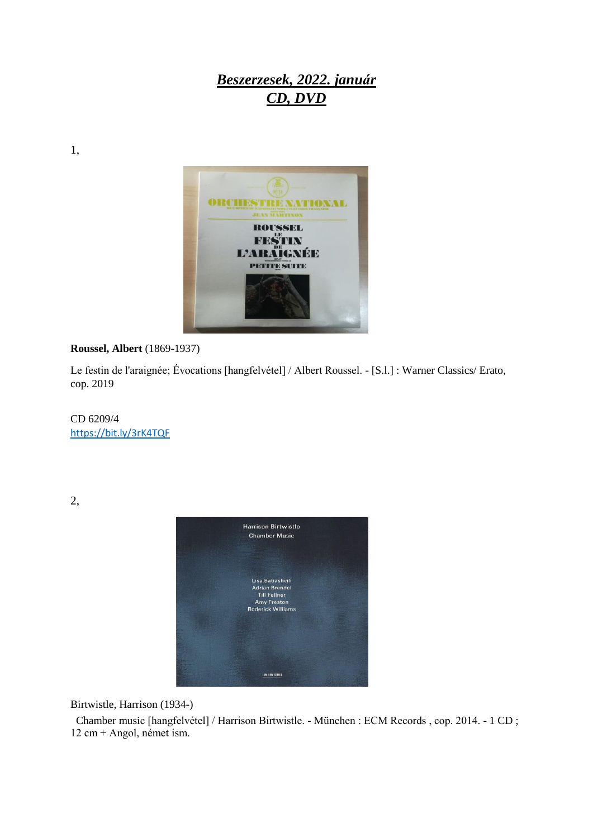## *Beszerzesek, 2022. január CD, DVD*

1,



## **Roussel, Albert** (1869-1937)

Le festin de l'araignée; Évocations [hangfelvétel] / Albert Roussel. - [S.l.] : Warner Classics/ Erato, cop. 2019

CD 6209/4 <https://bit.ly/3rK4TQF>

2,



Birtwistle, Harrison (1934-)

 Chamber music [hangfelvétel] / Harrison Birtwistle. - München : ECM Records , cop. 2014. - 1 CD ; 12 cm + Angol, német ism.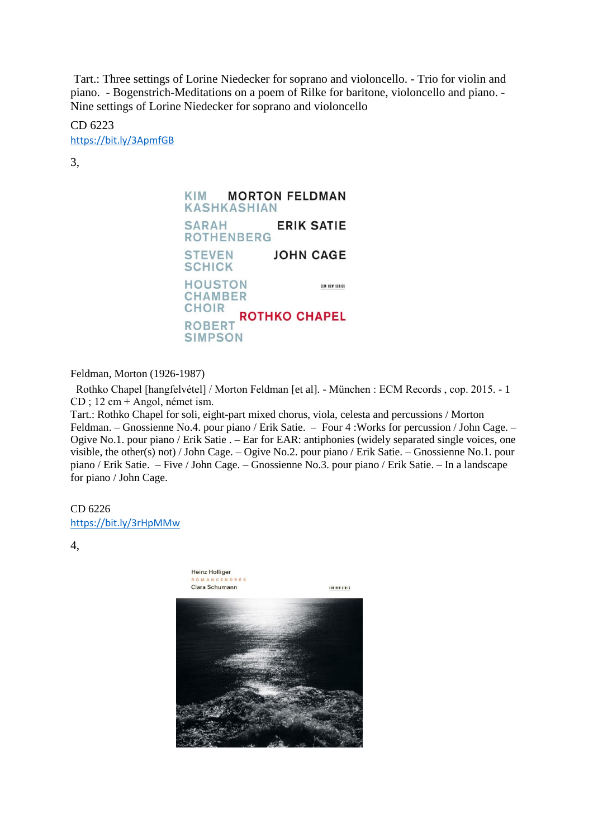Tart.: Three settings of Lorine Niedecker for soprano and violoncello. - Trio for violin and piano. - Bogenstrich-Meditations on a poem of Rilke for baritone, violoncello and piano. - Nine settings of Lorine Niedecker for soprano and violoncello

CD 6223 <https://bit.ly/3ApmfGB>

3,

**KIM MORTON FELDMAN KASHKASHIAN ERIK SATIE SARAH ROTHENBERG STEVEN JOHN CAGE SCHICK HOUSTON** ECM NEW SERIES **CHAMBER CHOIR ROTHKO CHAPEL ROBERT SIMPSON** 

Feldman, Morton (1926-1987)

 Rothko Chapel [hangfelvétel] / Morton Feldman [et al]. - München : ECM Records , cop. 2015. - 1 CD ; 12 cm + Angol, német ism.

Tart.: Rothko Chapel for soli, eight-part mixed chorus, viola, celesta and percussions / Morton Feldman. – Gnossienne No.4. pour piano / Erik Satie. – Four 4 :Works for percussion / John Cage. – Ogive No.1. pour piano / Erik Satie . – Ear for EAR: antiphonies (widely separated single voices, one visible, the other(s) not) / John Cage. – Ogive No.2. pour piano / Erik Satie. – Gnossienne No.1. pour piano / Erik Satie. – Five / John Cage. – Gnossienne No.3. pour piano / Erik Satie. – In a landscape for piano / John Cage.

CD 6226 <https://bit.ly/3rHpMMw>

4,

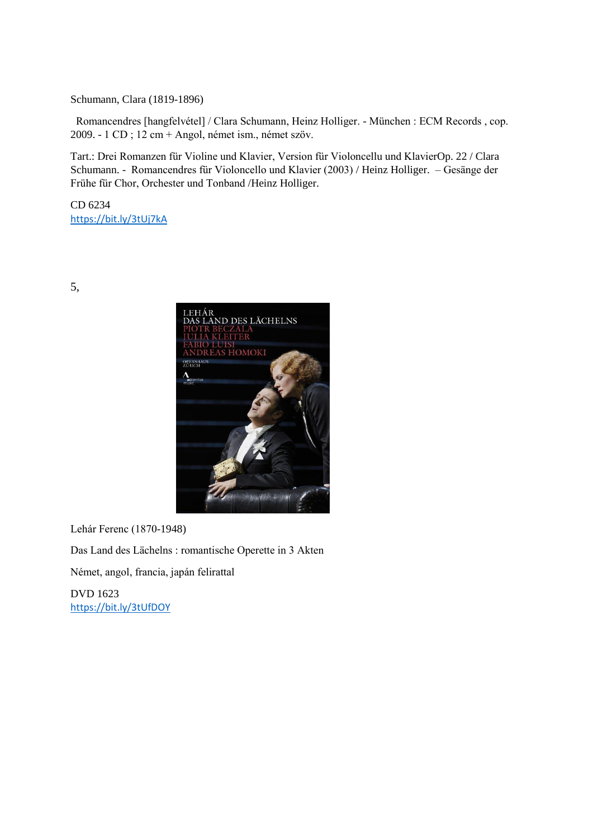Schumann, Clara (1819-1896)

 Romancendres [hangfelvétel] / Clara Schumann, Heinz Holliger. - München : ECM Records , cop. 2009. - 1 CD ; 12 cm + Angol, német ism., német szöv.

Tart.: Drei Romanzen für Violine und Klavier, Version für Violoncellu und KlavierOp. 22 / Clara Schumann. - Romancendres für Violoncello und Klavier (2003) / Heinz Holliger. – Gesänge der Frühe für Chor, Orchester und Tonband /Heinz Holliger.

CD 6234 <https://bit.ly/3tUj7kA>

5,



Lehár Ferenc (1870-1948)

Das Land des Lächelns : romantische Operette in 3 Akten

Német, angol, francia, japán felirattal

DVD 1623 <https://bit.ly/3tUfDOY>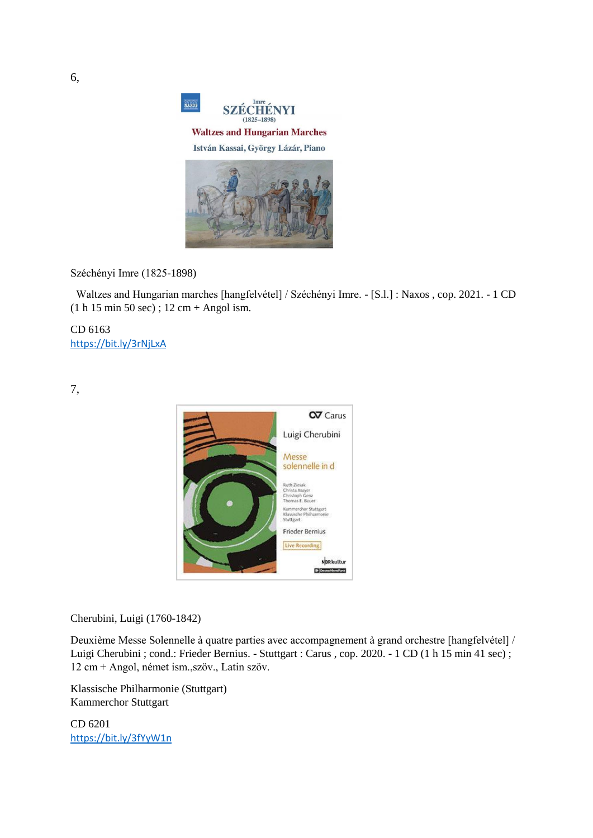

Széchényi Imre (1825-1898)

 Waltzes and Hungarian marches [hangfelvétel] / Széchényi Imre. - [S.l.] : Naxos , cop. 2021. - 1 CD (1 h 15 min 50 sec) ; 12 cm + Angol ism.

CD 6163 <https://bit.ly/3rNjLxA>

7,



Cherubini, Luigi (1760-1842)

Deuxième Messe Solennelle à quatre parties avec accompagnement à grand orchestre [hangfelvétel] / Luigi Cherubini ; cond.: Frieder Bernius. - Stuttgart : Carus , cop. 2020. - 1 CD (1 h 15 min 41 sec) ; 12 cm + Angol, német ism.,szöv., Latin szöv.

Klassische Philharmonie (Stuttgart) Kammerchor Stuttgart

CD 6201 <https://bit.ly/3fYyW1n>